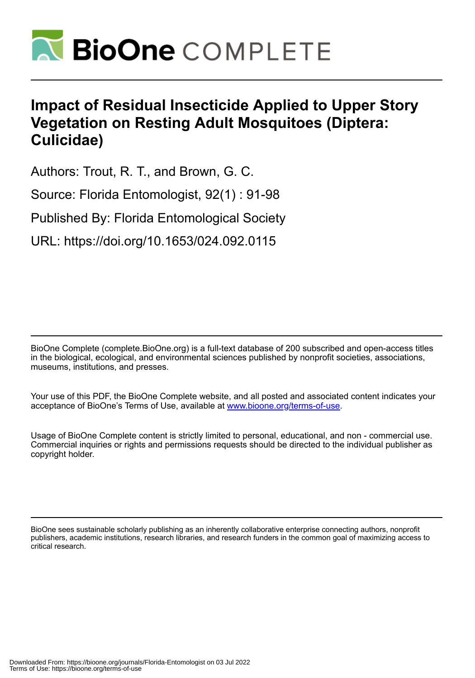

# **Impact of Residual Insecticide Applied to Upper Story Vegetation on Resting Adult Mosquitoes (Diptera: Culicidae)**

Authors: Trout, R. T., and Brown, G. C.

Source: Florida Entomologist, 92(1) : 91-98

Published By: Florida Entomological Society

URL: https://doi.org/10.1653/024.092.0115

BioOne Complete (complete.BioOne.org) is a full-text database of 200 subscribed and open-access titles in the biological, ecological, and environmental sciences published by nonprofit societies, associations, museums, institutions, and presses.

Your use of this PDF, the BioOne Complete website, and all posted and associated content indicates your acceptance of BioOne's Terms of Use, available at www.bioone.org/terms-of-use.

Usage of BioOne Complete content is strictly limited to personal, educational, and non - commercial use. Commercial inquiries or rights and permissions requests should be directed to the individual publisher as copyright holder.

BioOne sees sustainable scholarly publishing as an inherently collaborative enterprise connecting authors, nonprofit publishers, academic institutions, research libraries, and research funders in the common goal of maximizing access to critical research.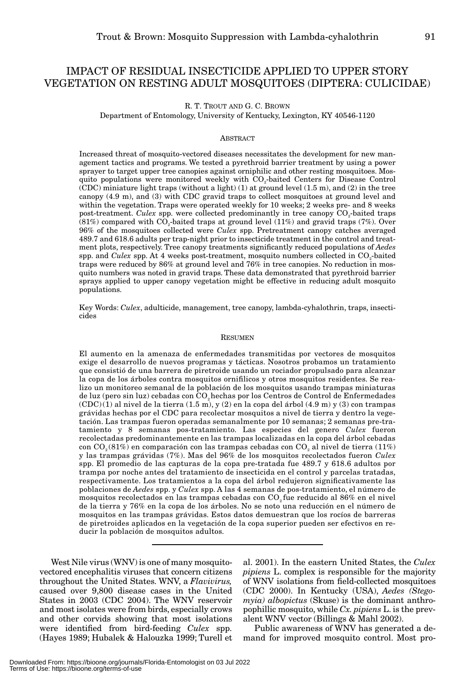# IMPACT OF RESIDUAL INSECTICIDE APPLIED TO UPPER STORY VEGETATION ON RESTING ADULT MOSQUITOES (DIPTERA: CULICIDAE)

R. T. TROUT AND G. C. BROWN

Department of Entomology, University of Kentucky, Lexington, KY 40546-1120

#### ABSTRACT

Increased threat of mosquito-vectored diseases necessitates the development for new management tactics and programs. We tested a pyrethroid barrier treatment by using a power sprayer to target upper tree canopies against orniphilic and other resting mosquitoes. Mosquito populations were monitored weekly with CO2-baited Centers for Disease Control (CDC) miniature light traps (without a light) (1) at ground level (1.5 m), and (2) in the tree canopy (4.9 m), and (3) with CDC gravid traps to collect mosquitoes at ground level and within the vegetation. Traps were operated weekly for 10 weeks; 2 weeks pre- and 8 weeks post-treatment. *Culex* spp. were collected predominantly in tree canopy CO<sub>2</sub>-baited traps  $(81%)$  compared with  $CO<sub>2</sub>$ -baited traps at ground level  $(11%)$  and gravid traps (7%). Over 96% of the mosquitoes collected were *Culex* spp. Pretreatment canopy catches averaged 489.7 and 618.6 adults per trap-night prior to insecticide treatment in the control and treatment plots, respectively. Tree canopy treatments significantly reduced populations of *Aedes* spp. and *Culex* spp. At 4 weeks post-treatment, mosquito numbers collected in CO<sub>2</sub>-baited traps were reduced by 86% at ground level and 76% in tree canopies. No reduction in mosquito numbers was noted in gravid traps. These data demonstrated that pyrethroid barrier sprays applied to upper canopy vegetation might be effective in reducing adult mosquito populations.

Key Words: *Culex*, adulticide, management, tree canopy, lambda-cyhalothrin, traps, insecticides

#### **RESUMEN**

El aumento en la amenaza de enfermedades transmitidas por vectores de mosquitos exige el desarrollo de nuevos programas y tácticas. Nosotros probamos un tratamiento que consistió de una barrera de piretroide usando un rociador propulsado para alcanzar la copa de los árboles contra mosquitos ornifilicos y otros mosquitos residentes. Se realizo un monitoreo semanal de la población de los mosquitos usando trampas miniaturas de luz (pero sin luz) cebadas con CO2hechas por los Centros de Control de Enfermedades  $(CDC)(1)$  al nivel de la tierra  $(1.5 \text{ m})$ , y  $(2)$  en la copa del árbol  $(4.9 \text{ m})$  y  $(3)$  con trampas grávidas hechas por el CDC para recolectar mosquitos a nivel de tierra y dentro la vegetación. Las trampas fueron operadas semanalmente por 10 semanas; 2 semanas pre-tratamiento y 8 semanas pos-tratamiento. Las especies del genero *Culex* fueron recolectadas predominantemente en las trampas localizadas en la copa del árbol cebadas con  $CO<sub>2</sub>(81%)$  en comparación con las trampas cebadas con  $CO<sub>2</sub>$  al nivel de tierra (11%) y las trampas grávidas (7%). Mas del 96% de los mosquitos recolectados fueron *Culex* spp. El promedio de las capturas de la copa pre-tratada fue 489.7 y 618.6 adultos por trampa por noche antes del tratamiento de insecticida en el control y parcelas tratadas, respectivamente. Los tratamientos a la copa del árbol redujeron significativamente las poblaciones de *Aedes* spp. y *Culex* spp. A las 4 semanas de pos-tratamiento, el número de mosquitos recolectados en las trampas cebadas con CO2 fue reducido al 86% en el nivel de la tierra y 76% en la copa de los árboles. No se noto una reducción en el número de mosquitos en las trampas grávidas. Estos datos demuestran que los rocíos de barreras de piretroides aplicados en la vegetación de la copa superior pueden ser efectivos en reducir la población de mosquitos adultos.

West Nile virus (WNV) is one of many mosquitovectored encephalitis viruses that concern citizens throughout the United States. WNV, a *Flavivirus,* caused over 9,800 disease cases in the United States in 2003 (CDC 2004). The WNV reservoir and most isolates were from birds, especially crows and other corvids showing that most isolations were identified from bird-feeding *Culex* spp. (Hayes 1989; Hubalek & Halouzka 1999; Turell et

al. 2001). In the eastern United States, the *Culex pipiens* L. complex is responsible for the majority of WNV isolations from field-collected mosquitoes (CDC 2000). In Kentucky (USA), *Aedes (Stegomyia) albopictus* (Skuse) is the dominant anthropophillic mosquito, while *Cx. pipiens* L. is the prevalent WNV vector (Billings & Mahl 2002).

Public awareness of WNV has generated a demand for improved mosquito control. Most pro-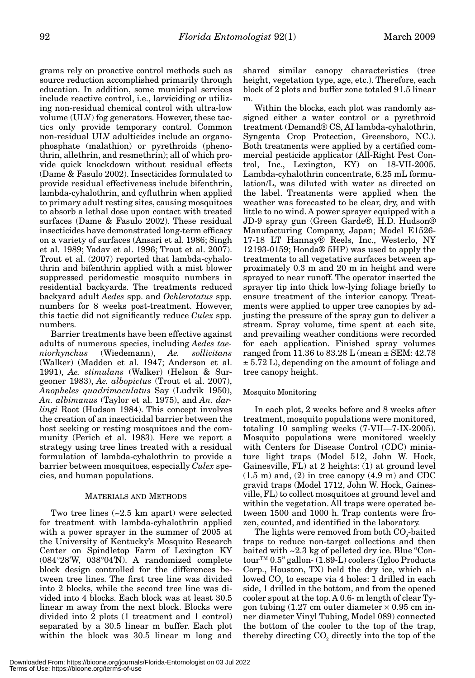grams rely on proactive control methods such as source reduction accomplished primarily through education. In addition, some municipal services include reactive control, i.e., larviciding or utilizing non-residual chemical control with ultra-low volume (ULV) fog generators. However, these tactics only provide temporary control. Common non-residual ULV adulticides include an organophosphate (malathion) or pyrethroids (phenothrin, allethrin, and resmethrin); all of which provide quick knockdown without residual effects (Dame & Fasulo 2002). Insecticides formulated to provide residual effectiveness include bifenthrin, lambda-cyhalothrin, and cyfluthrin when applied to primary adult resting sites, causing mosquitoes to absorb a lethal dose upon contact with treated surfaces (Dame & Fasulo 2002). These residual insecticides have demonstrated long-term efficacy on a variety of surfaces (Ansari et al. 1986; Singh et al. 1989; Yadav et al. 1996; Trout et al. 2007). Trout et al. (2007) reported that lambda-cyhalothrin and bifenthrin applied with a mist blower suppressed peridomestic mosquito numbers in residential backyards. The treatments reduced backyard adult *Aedes* spp. and *Ochlerotatus* spp. numbers for 8 weeks post-treatment. However, this tactic did not significantly reduce *Culex* spp. numbers.

Barrier treatments have been effective against adults of numerous species, including *Aedes taeniorhynchus* (Wiedemann), *Ae. sollicitans* (Walker) (Madden et al. 1947; Anderson et al. 1991), *Ae. stimulans* (Walker) (Helson & Surgeoner 1983), *Ae. albopictus* (Trout et al. 2007), *Anopheles quadrimaculatus* Say (Ludvik 1950), *An. albimanus* (Taylor et al. 1975), and *An. darlingi* Root (Hudson 1984). This concept involves the creation of an insecticidal barrier between the host seeking or resting mosquitoes and the community (Perich et al. 1983). Here we report a strategy using tree lines treated with a residual formulation of lambda-cyhalothrin to provide a barrier between mosquitoes, especially *Culex* species, and human populations.

# MATERIALS AND METHODS

Two tree lines (~2.5 km apart) were selected for treatment with lambda-cyhalothrin applied with a power sprayer in the summer of 2005 at the University of Kentucky's Mosquito Research Center on Spindletop Farm of Lexington KY (084°28'W, 038°04'N). A randomized complete block design controlled for the differences between tree lines. The first tree line was divided into 2 blocks, while the second tree line was divided into 4 blocks. Each block was at least 30.5 linear m away from the next block. Blocks were divided into 2 plots (1 treatment and 1 control) separated by a 30.5 linear m buffer. Each plot within the block was 30.5 linear m long and

shared similar canopy characteristics (tree height, vegetation type, age, etc.). Therefore, each block of 2 plots and buffer zone totaled 91.5 linear m.

Within the blocks, each plot was randomly assigned either a water control or a pyrethroid treatment (Demand® CS, AI lambda-cyhalothrin, Syngenta Crop Protection, Greensboro, NC.). Both treatments were applied by a certified commercial pesticide applicator (All-Right Pest Control, Inc., Lexington, KY) on 18-VII-2005. Lambda-cyhalothrin concentrate, 6.25 mL formulation/L, was diluted with water as directed on the label. Treatments were applied when the weather was forecasted to be clear, dry, and with little to no wind. A power sprayer equipped with a JD-9 spray gun (Green Garde®, H.D. Hudson® Manufacturing Company, Japan; Model E1526- 17-18 LT Hannay® Reels, Inc., Westerlo, NY 12193-0159; Honda® 5HP) was used to apply the treatments to all vegetative surfaces between approximately 0.3 m and 20 m in height and were sprayed to near runoff. The operator inserted the sprayer tip into thick low-lying foliage briefly to ensure treatment of the interior canopy. Treatments were applied to upper tree canopies by adjusting the pressure of the spray gun to deliver a stream. Spray volume, time spent at each site, and prevailing weather conditions were recorded for each application. Finished spray volumes ranged from 11.36 to 83.28 L (mean ± SEM: 42.78  $\pm$  5.72 L), depending on the amount of foliage and tree canopy height.

# Mosquito Monitoring

In each plot, 2 weeks before and 8 weeks after treatment, mosquito populations were monitored, totaling 10 sampling weeks (7-VII—7-IX-2005). Mosquito populations were monitored weekly with Centers for Disease Control (CDC) miniature light traps (Model 512, John W. Hock, Gainesville, FL) at 2 heights: (1) at ground level  $(1.5 \text{ m})$  and,  $(2)$  in tree canopy  $(4.9 \text{ m})$  and CDC gravid traps (Model 1712, John W. Hock, Gainesville, FL) to collect mosquitoes at ground level and within the vegetation. All traps were operated between 1500 and 1000 h. Trap contents were frozen, counted, and identified in the laboratory.

The lights were removed from both CO<sub>2</sub>-baited traps to reduce non-target collections and then baited with ~2.3 kg of pelleted dry ice. Blue "Contour™ 0.5" gallon- (1.89-L) coolers (Igloo Products Corp., Houston, TX) held the dry ice, which allowed  $CO<sub>2</sub>$  to escape via 4 holes: 1 drilled in each side, 1 drilled in the bottom, and from the opened cooler spout at the top. A 0.6- m length of clear Tygon tubing  $(1.27 \text{ cm}$  outer diameter  $\times 0.95 \text{ cm}$  inner diameter Vinyl Tubing, Model 089) connected the bottom of the cooler to the top of the trap, thereby directing  $CO<sub>2</sub>$  directly into the top of the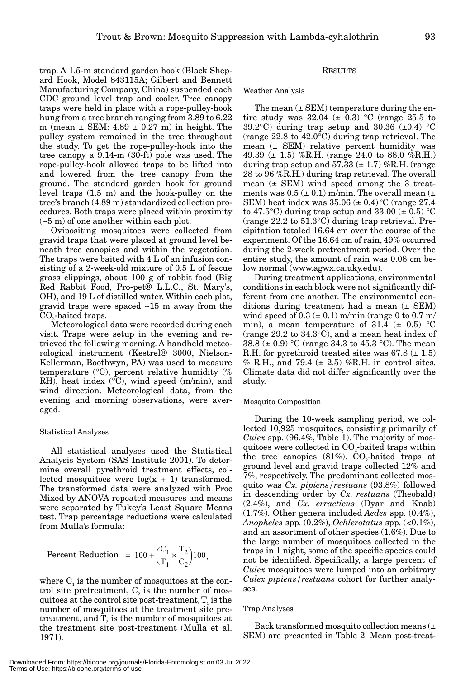trap. A 1.5-m standard garden hook (Black Shepard Hook, Model 843115A; Gilbert and Bennett Manufacturing Company, China) suspended each CDC ground level trap and cooler. Tree canopy traps were held in place with a rope-pulley-hook hung from a tree branch ranging from 3.89 to 6.22 m (mean  $\pm$  SEM: 4.89  $\pm$  0.27 m) in height. The pulley system remained in the tree throughout the study. To get the rope-pulley-hook into the tree canopy a 9.14-m (30-ft) pole was used. The rope-pulley-hook allowed traps to be lifted into and lowered from the tree canopy from the ground. The standard garden hook for ground level traps (1.5 m) and the hook-pulley on the tree's branch (4.89 m) standardized collection procedures. Both traps were placed within proximity (~5 m) of one another within each plot.

Ovipositing mosquitoes were collected from gravid traps that were placed at ground level beneath tree canopies and within the vegetation. The traps were baited with 4 L of an infusion consisting of a 2-week-old mixture of 0.5 L of fescue grass clippings, about 100 g of rabbit food **(**Big Red Rabbit Food, Pro-pet® L.L.C., St. Mary's, OH**)**, and 19 L of distilled water. Within each plot, gravid traps were spaced ~15 m away from the CO<sub>2</sub>-baited traps.

Meteorological data were recorded during each visit. Traps were setup in the evening and retrieved the following morning. A handheld meteorological instrument (Kestrel® 3000, Nielson-Kellerman, Boothwyn, PA) was used to measure temperature  $(^{\circ}C)$ , percent relative humidity  $(\%$ RH), heat index (°C), wind speed (m/min), and wind direction. Meteorological data, from the evening and morning observations, were averaged.

#### Statistical Analyses

All statistical analyses used the Statistical Analysis System (SAS Institute 2001). To determine overall pyrethroid treatment effects, collected mosquitoes were  $log(x + 1)$  transformed. The transformed data were analyzed with Proc Mixed by ANOVA repeated measures and means were separated by Tukey's Least Square Means test. Trap percentage reductions were calculated from Mulla's formula:

$$
Percent Reduction = 100 + \left(\frac{C_1}{T_1} \times \frac{T_2}{C_2}\right)100,
$$

where  $C<sub>1</sub>$  is the number of mosquitoes at the control site pretreatment,  $C_2$  is the number of mosquitoes at the control site post-treatment,  $T<sub>1</sub>$  is the number of mosquitoes at the treatment site pretreatment, and  $T_2$  is the number of mosquitoes at the treatment site post-treatment (Mulla et al. 1971).

# RESULTS

#### Weather Analysis

The mean  $(\pm$  SEM) temperature during the entire study was  $32.04 \ (\pm 0.3)$  °C (range 25.5 to 39.2°C) during trap setup and 30.36  $(\pm 0.4)$  °C (range 22.8 to 42.0°C) during trap retrieval. The mean  $(\pm$  SEM) relative percent humidity was 49.39 ( $\pm$  1.5) %R.H. (range 24.0 to 88.0 %R.H.) during trap setup and  $57.33 \ (\pm 1.7)$  %R.H. (range 28 to 96 %R.H.) during trap retrieval. The overall mean  $(\pm$  SEM) wind speed among the 3 treatments was  $0.5 (\pm 0.1)$  m/min. The overall mean  $(\pm$ SEM) heat index was  $35.06 \ (\pm 0.4) \ ^{\circ}\textrm{C}$  (range  $27.4$ to 47.5 °C) during trap setup and 33.00  $(\pm 0.5)$  °C (range 22.2 to 51.3°C) during trap retrieval. Precipitation totaled 16.64 cm over the course of the experiment. Of the 16.64 cm of rain, 49% occurred during the 2-week pretreatment period. Over the entire study, the amount of rain was 0.08 cm below normal (www.agwx.ca.uky.edu).

During treatment applications, environmental conditions in each block were not significantly different from one another. The environmental conditions during treatment had a mean (± SEM) wind speed of  $0.3 \left( \pm 0.1 \right)$  m/min (range 0 to 0.7 m/ min), a mean temperature of 31.4 ( $\pm$  0.5) °C (range 29.2 to 34.3°C), and a mean heat index of 38.8 ( $\pm$  0.9) °C (range 34.3 to 45.3 °C). The mean R.H. for pyrethroid treated sites was  $67.8 \ (\pm 1.5)$  $%$  R.H., and 79.4 ( $\pm$  2.5) %R.H. in control sites. Climate data did not differ significantly over the study.

#### Mosquito Composition

During the 10-week sampling period, we collected 10,925 mosquitoes, consisting primarily of *Culex* spp. (96.4%, Table 1). The majority of mosquitoes were collected in  $CO<sub>2</sub>$ -baited traps within the tree canopies (81%).  $CO<sub>2</sub>$ -baited traps at ground level and gravid traps collected 12% and 7%, respectively. The predominant collected mosquito was *Cx. pipiens/restuans* (93.8%) followed in descending order by *Cx. restuans* (Theobald) (2.4%), and *Cx. erracticus* (Dyar and Knab) (1.7%). Other genera included *Aedes* spp. (0.4%), *Anopheles* spp. (0.2%), *Ochlerotatus* spp. (<0.1%), and an assortment of other species (1.6%). Due to the large number of mosquitoes collected in the traps in 1 night, some of the specific species could not be identified. Specifically, a large percent of *Culex* mosquitoes were lumped into an arbitrary *Culex pipiens/restuans* cohort for further analyses.

#### Trap Analyses

Back transformed mosquito collection means (± SEM) are presented in Table 2. Mean post-treat-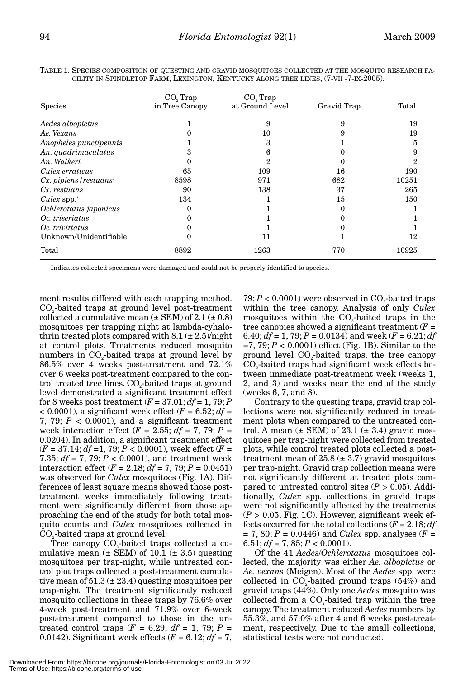| <b>Species</b>                        | $CO3$ Trap<br>in Tree Canopy | $CO3$ Trap<br>at Ground Level | Gravid Trap | Total |  |
|---------------------------------------|------------------------------|-------------------------------|-------------|-------|--|
| Aedes albopictus                      |                              | 9                             | 9           | 19    |  |
| Ae. Vexans                            |                              | 10                            |             | 19    |  |
| Anopheles punctipennis                |                              | 3                             |             | 5     |  |
| An. quadrimaculatus                   | з                            | 6                             |             | 9     |  |
| An. Walkeri                           | $\Omega$                     | 2                             |             | 2     |  |
| Culex erraticus                       | 65                           | 109                           | 16          | 190   |  |
| $Cx.$ pipiens / restuans <sup>1</sup> | 8598                         | 971                           | 682         | 10251 |  |
| $Cx$ restuans                         | 90                           | 138                           | 37          | 265   |  |
| Culex $spp.'$                         | 134                          |                               | 15          | 150   |  |
| Ochlerotatus japonicus                | $\Omega$                     |                               |             |       |  |
| Oc. triseriatus                       |                              |                               |             |       |  |
| Oc. trivittatus                       |                              |                               |             |       |  |
| Unknown/Unidentifiable                |                              | 11                            |             | 12    |  |
| Total                                 | 8892                         | 1263                          | 770         | 10925 |  |
|                                       |                              |                               |             |       |  |

TABLE 1. SPECIES COMPOSITION OF QUESTING AND GRAVID MOSQUITOES COLLECTED AT THE MOSQUITO RESEARCH FA-CILITY IN SPINDLETOP FARM, LEXINGTON, KENTUCKY ALONG TREE LINES, (7-VII -7-IX-2005).

1 Indicates collected specimens were damaged and could not be properly identified to species.

ment results differed with each trapping method. CO<sub>2</sub>-baited traps at ground level post-treatment collected a cumulative mean  $(\pm$  SEM) of 2.1  $(\pm$  0.8) mosquitoes per trapping night at lambda-cyhalothrin treated plots compared with  $8.1 (\pm 2.5)/^{\circ}$ night at control plots. Treatments reduced mosquito numbers in CO<sub>2</sub>-baited traps at ground level by 86.5% over 4 weeks post-treatment and 72.1% over 6 weeks post-treatment compared to the control treated tree lines. CO<sub>2</sub>-baited traps at ground level demonstrated a significant treatment effect for 8 weeks post treatment  $(F = 37.01; df = 1, 79; P$  $< 0.0001$ ), a significant week effect ( $F = 6.52$ ;  $df =$ 7, 79;  $P < 0.0001$ ), and a significant treatment week interaction effect  $(F = 2.55; df = 7, 79; P =$ 0.0204). In addition, a significant treatment effect (*F* = 37.14; *df* =1, 79; *P* < 0.0001), week effect (*F* = 7.35; *df* = 7, 79; *P* < 0.0001), and treatment week interaction effect  $(F = 2.18; df = 7, 79; P = 0.0451)$ was observed for *Culex* mosquitoes (Fig. 1A). Differences of least square means showed those posttreatment weeks immediately following treatment were significantly different from those approaching the end of the study for both total mosquito counts and *Culex* mosquitoes collected in CO<sub>2</sub>-baited traps at ground level.

Tree canopy  $CO<sub>2</sub>$ -baited traps collected a cumulative mean  $(\pm$  SEM) of 10.1  $(\pm 3.5)$  questing mosquitoes per trap-night, while untreated control plot traps collected a post-treatment cumulative mean of  $51.3 \times 23.4$  questing mosquitoes per trap-night. The treatment significantly reduced mosquito collections in these traps by 76.6% over 4-week post-treatment and 71.9% over 6-week post-treatment compared to those in the untreated control traps  $(F = 6.29; df = 1, 79; P =$ 0.0142). Significant week effects  $(F = 6.12; df = 7,$ 

 $79; P < 0.0001$  were observed in CO<sub>2</sub>-baited traps within the tree canopy. Analysis of only *Culex* mosquitoes within the  $CO<sub>2</sub>$ -baited traps in the tree canopies showed a significant treatment (*F* = 6.40;  $df = 1$ , 79;  $P = 0.0134$ ) and week  $(F = 6.21; df)$  $=7, 79; P < 0.0001$ ) effect (Fig. 1B). Similar to the ground level  $CO<sub>2</sub>$ -baited traps, the tree canopy  $CO<sub>2</sub>$ -baited traps had significant week effects between immediate post-treatment week (weeks 1, 2, and 3) and weeks near the end of the study (weeks 6, 7, and 8).

Contrary to the questing traps, gravid trap collections were not significantly reduced in treatment plots when compared to the untreated control. A mean  $(\pm$  SEM) of 23.1  $(\pm 3.4)$  gravid mosquitoes per trap-night were collected from treated plots, while control treated plots collected a posttreatment mean of  $25.8 \ (\pm 3.7)$  gravid mosquitoes per trap-night. Gravid trap collection means were not significantly different at treated plots compared to untreated control sites  $(P > 0.05)$ . Additionally, *Culex* spp. collections in gravid traps were not significantly affected by the treatments  $(P > 0.05$ , Fig. 1C). However, significant week effects occurred for the total collections  $(F = 2.18; df)$  $= 7, 80; P = 0.0446$ ) and *Culex* spp. analyses (*F* =  $6.51; df = 7, 85; P < 0.0001$ .

Of the 41 *Aedes*/*Ochlerotatus* mosquitoes collected, the majority was either *Ae. albopictus* or *Ae. vexans* (Meigen). Most of the *Aedes* spp. were collected in  $CO<sub>2</sub>$ -baited ground traps  $(54%)$  and gravid traps (44%). Only one *Aedes* mosquito was collected from a  $CO<sub>2</sub>$ -baited trap within the tree canopy. The treatment reduced *Aedes* numbers by 55.3%, and 57.0% after 4 and 6 weeks post-treatment, respectively. Due to the small collections, statistical tests were not conducted.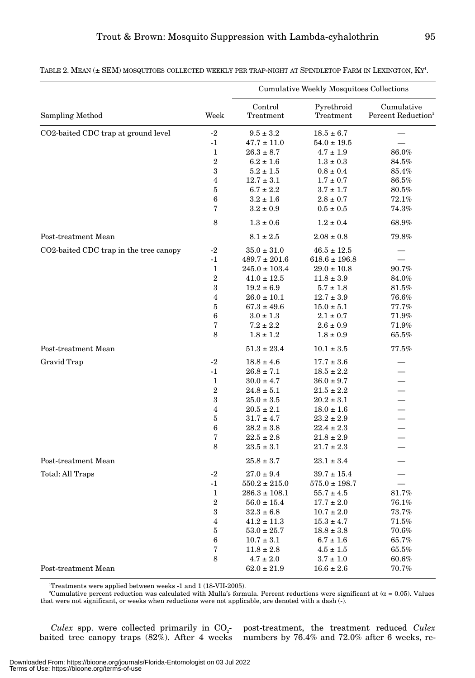|                                        |                | <b>Cumulative Weekly Mosquitoes Collections</b> |                         |                                              |  |
|----------------------------------------|----------------|-------------------------------------------------|-------------------------|----------------------------------------------|--|
| Sampling Method                        | Week           | Control<br>Treatment                            | Pyrethroid<br>Treatment | Cumulative<br>Percent Reduction <sup>2</sup> |  |
| CO2-baited CDC trap at ground level    | $-2$           | $9.5 \pm 3.2$                                   | $18.5 \pm 6.7$          |                                              |  |
|                                        | $-1$           | $47.7 \pm 11.0$                                 | $54.0 \pm 19.5$         |                                              |  |
|                                        | 1              | $26.3 \pm 8.7$                                  | $4.7 \pm 1.9$           | 86.0%                                        |  |
|                                        | 2              | $6.2 \pm 1.6$                                   | $1.3 \pm 0.3$           | $84.5\%$                                     |  |
|                                        | 3              | $5.2 \pm 1.5$                                   | $0.8 \pm 0.4$           | 85.4%                                        |  |
|                                        | $\overline{4}$ | $12.7 \pm 3.1$                                  | $1.7 \pm 0.7$           | 86.5%                                        |  |
|                                        | 5              | $6.7 \pm 2.2$                                   | $3.7 \pm 1.7$           | $80.5\%$                                     |  |
|                                        | 6              | $3.2 \pm 1.6$                                   | $2.8 \pm 0.7$           | 72.1%                                        |  |
|                                        | 7              | $3.2 \pm 0.9$                                   | $0.5 \pm 0.5$           | $74.3\%$                                     |  |
|                                        | 8              | $1.3 \pm 0.6$                                   | $1.2 \pm 0.4$           | 68.9%                                        |  |
| Post-treatment Mean                    |                | $8.1 \pm 2.5$                                   | $2.08 \pm 0.8$          | $79.8\%$                                     |  |
| CO2-baited CDC trap in the tree canopy | $-2$           | $35.0 \pm 31.0$                                 | $46.5 \pm 12.5$         |                                              |  |
|                                        | -1             | $489.7 \pm 201.6$                               | $618.6 \pm 196.8$       |                                              |  |
|                                        | 1              | $245.0 \pm 103.4$                               | $29.0 \pm 10.8$         | $90.7\%$                                     |  |
|                                        | $\overline{2}$ | $41.0 \pm 12.5$                                 | $11.8 \pm 3.9$          | 84.0%                                        |  |
|                                        | 3              | $19.2 \pm 6.9$                                  | $5.7 \pm 1.8$           | $81.5\%$                                     |  |
|                                        | $\overline{4}$ | $26.0 \pm 10.1$                                 | $12.7 \pm 3.9$          | $76.6\%$                                     |  |
|                                        | 5              | $67.3 \pm 49.6$                                 | $15.0 \pm 5.1$          | 77.7%                                        |  |
|                                        | 6              | $3.0 \pm 1.3$                                   | $2.1 \pm 0.7$           | $71.9\%$                                     |  |
|                                        | 7              | $7.2 \pm 2.2$                                   | $2.6 \pm 0.9$           | $71.9\%$                                     |  |
|                                        | 8              | $1.8 \pm 1.2$                                   | $1.8 \pm 0.9$           | $65.5\%$                                     |  |
| Post-treatment Mean                    |                | $51.3 \pm 23.4$                                 | $10.1 \pm 3.5$          | 77.5%                                        |  |
| Gravid Trap                            | $-2$           | $18.8 \pm 4.6$                                  | $17.7 \pm 3.6$          |                                              |  |
|                                        | $-1$           | $26.8 \pm 7.1$                                  | $18.5 \pm 2.2$          |                                              |  |
|                                        | $\mathbf{1}$   | $30.0 \pm 4.7$                                  | $36.0 \pm 9.7$          |                                              |  |
|                                        | $\overline{2}$ | $24.8 \pm 5.1$                                  | $21.5 \pm 2.2$          |                                              |  |
|                                        | 3              | $25.0 \pm 3.5$                                  | $20.2 \pm 3.1$          |                                              |  |
|                                        | $\overline{4}$ | $20.5 \pm 2.1$                                  | $18.0 \pm 1.6$          |                                              |  |
|                                        | 5              | $31.7 \pm 4.7$                                  | $23.2 \pm 2.9$          |                                              |  |
|                                        | 6              | $28.2 \pm 3.8$                                  | $22.4 \pm 2.3$          |                                              |  |
|                                        | 7              | $22.5 \pm 2.8$                                  | $21.8 \pm 2.9$          |                                              |  |
|                                        | 8              | $23.5 \pm 3.1$                                  | $21.7 \pm 2.3$          |                                              |  |
| Post-treatment Mean                    |                | $25.8 \pm 3.7$                                  | $23.1 \pm 3.4$          |                                              |  |
| Total: All Traps                       | $-2$           | $27.0 \pm 9.4$                                  | $39.7 \pm 15.4$         |                                              |  |
|                                        | $-1$           | $550.2 \pm 215.0$                               | $575.0 \pm 198.7$       |                                              |  |
|                                        | 1              | $286.3 \pm 108.1$                               | $55.7 \pm 4.5$          | 81.7%                                        |  |
|                                        | $\overline{2}$ | $56.0 \pm 15.4$                                 | $17.7 \pm 2.0$          | $76.1\%$                                     |  |
|                                        | 3              | $32.3 \pm 6.8$                                  | $10.7 \pm 2.0$          | 73.7%                                        |  |
|                                        | 4              | $41.2 \pm 11.3$                                 | $15.3 \pm 4.7$          | $71.5\%$                                     |  |
|                                        | 5              | $53.0 \pm 25.7$                                 | $18.8 \pm 3.8$          | 70.6%                                        |  |
|                                        | 6              | $10.7 \pm 3.1$                                  | $6.7 \pm 1.6$           | $65.7\%$                                     |  |
|                                        | 7              | $11.8 \pm 2.8$                                  | $4.5 \pm 1.5$           | $65.5\%$                                     |  |
|                                        | 8              | $4.7 \pm 2.0$                                   | $3.7 \pm 1.0$           | $60.6\%$                                     |  |
| Post-treatment Mean                    |                | $62.0 \pm 21.9$                                 | $16.6 \pm 2.6$          | $70.7\%$                                     |  |

TABLE 2. MEAN (± SEM) MOSQUITOES COLLECTED WEEKLY PER TRAP-NIGHT AT SPINDLETOP FARM IN LEXINGTON, KY1 .

1 Treatments were applied between weeks -1 and 1 (18-VII-2005).

 $^2$ Cumulative percent reduction was calculated with Mulla's formula. Percent reductions were significant at ( $\alpha$  = 0.05). Values that were not significant, or weeks when reductions were not applicable, are denoted with a dash (-).

*Culex* spp. were collected primarily in  $CO<sub>2</sub>$ baited tree canopy traps (82%). After 4 weeks post-treatment, the treatment reduced *Culex* numbers by 76.4% and 72.0% after 6 weeks, re-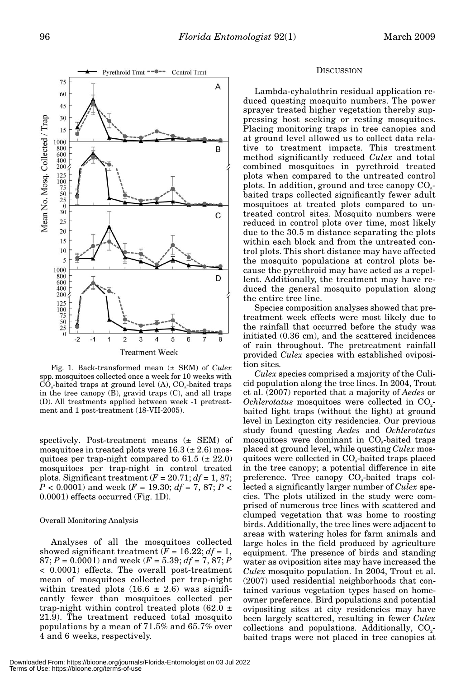

Fig. 1. Back-transformed mean (± SEM) of *Culex* spp. mosquitoes collected once a week for 10 weeks with  $CO<sub>o</sub>$ -baited traps at ground level  $(A)$ ,  $CO<sub>o</sub>$ -baited traps in the tree canopy (B), gravid traps (C), and all traps (D). All treatments applied between week -1 pretreatment and 1 post-treatment (18-VII-2005).

spectively. Post-treatment means (± SEM) of mosquitoes in treated plots were  $16.3 \ (\pm 2.6) \ \text{mos}$ quitoes per trap-night compared to  $61.5 \ (\pm 22.0)$ mosquitoes per trap-night in control treated plots. Significant treatment  $(F = 20.71; df = 1, 87;$ *P* < 0.0001) and week (*F* = 19.30; *df* = 7, 87; *P* < 0.0001) effects occurred (Fig. 1D).

#### Overall Monitoring Analysis

Analyses of all the mosquitoes collected showed significant treatment  $(F = 16.22; df = 1,$  $87; P = 0.0001$  and week  $(F = 5.39; df = 7, 87; P$ < 0.0001) effects. The overall post-treatment mean of mosquitoes collected per trap-night within treated plots  $(16.6 \pm 2.6)$  was significantly fewer than mosquitoes collected per trap-night within control treated plots  $(62.0 \pm$ 21.9). The treatment reduced total mosquito populations by a mean of 71.5% and 65.7% over 4 and 6 weeks, respectively.

### **DISCUSSION**

Lambda-cyhalothrin residual application reduced questing mosquito numbers. The power sprayer treated higher vegetation thereby suppressing host seeking or resting mosquitoes. Placing monitoring traps in tree canopies and at ground level allowed us to collect data relative to treatment impacts. This treatment method significantly reduced *Culex* and total combined mosquitoes in pyrethroid treated plots when compared to the untreated control plots. In addition, ground and tree canopy  $CO<sub>2</sub>$ baited traps collected significantly fewer adult mosquitoes at treated plots compared to untreated control sites. Mosquito numbers were reduced in control plots over time, most likely due to the 30.5 m distance separating the plots within each block and from the untreated control plots. This short distance may have affected the mosquito populations at control plots because the pyrethroid may have acted as a repellent. Additionally, the treatment may have reduced the general mosquito population along the entire tree line.

Species composition analyses showed that pretreatment week effects were most likely due to the rainfall that occurred before the study was initiated (0.36 cm), and the scattered incidences of rain throughout. The pretreatment rainfall provided *Culex* species with established oviposition sites.

*Culex* species comprised a majority of the Culicid population along the tree lines. In 2004, Trout et al. (2007) reported that a majority of *Aedes* or *Ochlerotatus* mosquitoes were collected in CO<sub>2</sub>baited light traps (without the light) at ground level in Lexington city residencies. Our previous study found questing *Aedes* and *Ochlerotatus* mosquitoes were dominant in  $CO<sub>2</sub>$ -baited traps placed at ground level, while questing *Culex* mosquitoes were collected in CO<sub>2</sub>-baited traps placed in the tree canopy; a potential difference in site preference. Tree canopy  $CO<sub>2</sub>$ -baited traps collected a significantly larger number of *Culex* species. The plots utilized in the study were comprised of numerous tree lines with scattered and clumped vegetation that was home to roosting birds. Additionally, the tree lines were adjacent to areas with watering holes for farm animals and large holes in the field produced by agriculture equipment. The presence of birds and standing water as oviposition sites may have increased the *Culex* mosquito population. In 2004, Trout et al. (2007) used residential neighborhoods that contained various vegetation types based on homeowner preference. Bird populations and potential ovipositing sites at city residencies may have been largely scattered, resulting in fewer *Culex*  $collections and populations. Additionally, CO<sub>2</sub>$ baited traps were not placed in tree canopies at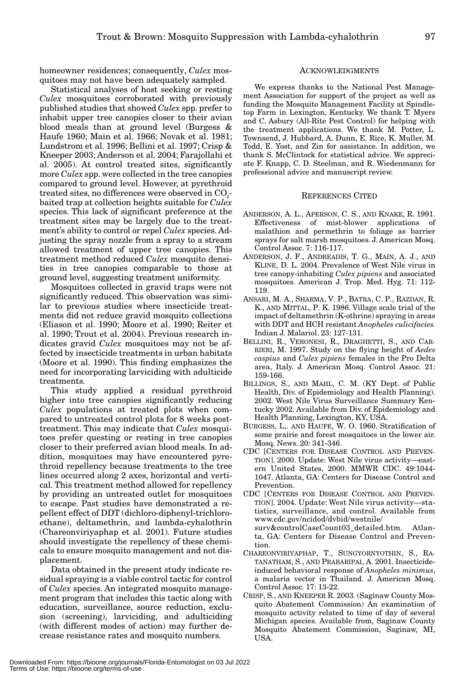homeowner residences; consequently, *Culex* mosquitoes may not have been adequately sampled.

Statistical analyses of host seeking or resting *Culex* mosquitoes corroborated with previously published studies that showed *Culex* spp. prefer to inhabit upper tree canopies closer to their avian blood meals than at ground level (Burgess & Haufe 1960; Main et al. 1966; Novak et al. 1981; Lundstrom et al. 1996; Bellini et al. 1997; Crisp & Kneeper 2003; Anderson et al. 2004; Farajollahi et al. 2005). At control treated sites, significantly more *Culex* spp. were collected in the tree canopies compared to ground level. However, at pyrethroid treated sites, no differences were observed in CO<sub>2</sub>baited trap at collection heights suitable for *Culex* species. This lack of significant preference at the treatment sites may be largely due to the treatment's ability to control or repel *Culex* species. Adjusting the spray nozzle from a spray to a stream allowed treatment of upper tree canopies. This treatment method reduced *Culex* mosquito densities in tree canopies comparable to those at ground level, suggesting treatment uniformity.

Mosquitoes collected in gravid traps were not significantly reduced. This observation was similar to previous studies where insecticide treatments did not reduce gravid mosquito collections (Eliason et al. 1990; Moore et al. 1990; Reiter et al. 1990; Trout et al. 2004). Previous research indicates gravid *Culex* mosquitoes may not be affected by insecticide treatments in urban habitats (Moore et al. 1990). This finding emphasizes the need for incorporating larviciding with adulticide treatments.

This study applied a residual pyrethroid higher into tree canopies significantly reducing *Culex* populations at treated plots when compared to untreated control plots for 8 weeks posttreatment. This may indicate that *Culex* mosquitoes prefer questing or resting in tree canopies closer to their preferred avian blood meals. In addition, mosquitoes may have encountered pyrethroid repellency because treatments to the tree lines occurred along 2 axes, horizontal and vertical. This treatment method allowed for repellency by providing an untreated outlet for mosquitoes to escape. Past studies have demonstrated a repellent effect of DDT (dichloro-diphenyl-trichloroethane), deltamethrin, and lambda-cyhalothrin (Chareonviriyaphap et al. 2001). Future studies should investigate the repellency of these chemicals to ensure mosquito management and not displacement.

Data obtained in the present study indicate residual spraying is a viable control tactic for control of *Culex* species. An integrated mosquito management program that includes this tactic along with education, surveillance, source reduction, exclusion (screening), larviciding, and adulticiding (with different modes of action) may further decrease resistance rates and mosquito numbers.

#### ACKNOWLEDGMENTS

We express thanks to the National Pest Management Association for support of the project as well as funding the Mosquito Management Facility at Spindletop Farm in Lexington, Kentucky. We thank T. Myers and C. Asbury (All-Rite Pest Control) for helping with the treatment applications. We thank M. Potter, L. Townsend, J. Hubbard, A. Dunn, E. Rice, K. Muller, M. Todd, E. Yost, and Zin for assistance. In addition, we thank S. McClintock for statistical advice. We appreciate F. Knapp, C. D. Steelman, and R. Wiedenmann for professional advice and manuscript review.

#### REFERENCES CITED

- ANDERSON, A. L., APERSON, C. S., AND KNAKE, R. 1991. Effectiveness of mist-blower applications of malathion and permethrin to foliage as barrier sprays for salt marsh mosquitoes. J. American Mosq. Control Assoc. 7: 116-117.
- ANDERSON, J. F., ANDREADIS, T. G., MAIN, A. J., AND KLINE, D. L. 2004. Prevalence of West Nile virus in tree canopy-inhabiting *Culex pipiens* and associated mosquitoes. American J. Trop. Med. Hyg. 71: 112- 119.
- ANSARI, M. A., SHARMA, V. P., BATRA, C. P., RAZDAN, R. K., AND MITTAL, P. K. 1986. Village scale trial of the impact of deltamethrin (K-othrine) spraying in areas with DDT and HCH resistant *Anopheles culicifacies.* Indian J. Malariol. 23: 127-131.
- BELLINI, R., VERONESI, R., DRAGHETTI, S., AND CAR-RIERI, M. 1997. Study on the flying height of *Aedes caspius* and *Culex pipiens* females in the Pro Delta area, Italy. J. American Mosq. Control Assoc. 21: 159-166.
- BILLINGS, S., AND MAHL, C. M. (KY Dept. of Public Health, Div. of Epidemiology and Health Planning). 2002. West Nile Virus Surveillance Summary Kentucky 2002. Available from Div. of Epidemiology and Health Planning, Lexington, KY, USA.
- BURGESS, L,. AND HAUFE, W. O. 1960. Stratification of some prairie and forest mosquitoes in the lower air. Mosq. News. 20: 341-346.
- CDC [CENTERS FOR DISEASE CONTROL AND PREVEN-TION]. 2000. Update: West Nile virus activity—eastern United States, 2000. MMWR CDC. 49:1044- 1047. Atlanta, GA: Centers for Disease Control and Prevention.
- CDC [CENTERS FOR DISEASE CONTROL AND PREVEN-TION]. 2004. Update: West Nile virus activity—statistics, surveillance, and control. Available from www.cdc.gov/ncidod/dvbid/westnile/ surv&controlCaseCount03\_detailed.htm. Atlanta, GA: Centers for Disease Control and Prevention.
- CHAREONVIRIYAPHAP, T., SUNGYORNYOTHIN, S., RA-TANATHAM, S., AND PRABARIPAI, A. 2001. Insecticideinduced behavioral response of *Anopheles minimus*, a malaria vector in Thailand. J. American Mosq. Control Assoc. 17: 13-22.
- CRISP, S., AND KNEEPER R. 2003. (Saginaw County Mosquito Abatement Commission) An examination of mosquito activity related to time of day of several Michigan species. Available from, Saginaw County Mosquito Abatement Commission, Saginaw, MI, USA.